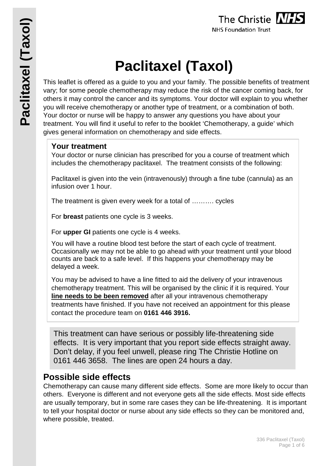

# **Paclitaxel (Taxol)**

This leaflet is offered as a guide to you and your family. The possible benefits of treatment vary; for some people chemotherapy may reduce the risk of the cancer coming back, for others it may control the cancer and its symptoms. Your doctor will explain to you whether you will receive chemotherapy or another type of treatment, or a combination of both. Your doctor or nurse will be happy to answer any questions you have about your treatment. You will find it useful to refer to the booklet 'Chemotherapy, a guide' which gives general information on chemotherapy and side effects.

# **Your treatment**

Your doctor or nurse clinician has prescribed for you a course of treatment which includes the chemotherapy paclitaxel. The treatment consists of the following:

Paclitaxel is given into the vein (intravenously) through a fine tube (cannula) as an infusion over 1 hour.

The treatment is given every week for a total of ………. cycles

For **breast** patients one cycle is 3 weeks.

For **upper GI** patients one cycle is 4 weeks.

You will have a routine blood test before the start of each cycle of treatment. Occasionally we may not be able to go ahead with your treatment until your blood counts are back to a safe level. If this happens your chemotherapy may be delayed a week.

You may be advised to have a line fitted to aid the delivery of your intravenous chemotherapy treatment. This will be organised by the clinic if it is required. Your **line needs to be been removed** after all your intravenous chemotherapy treatments have finished. If you have not received an appointment for this please contact the procedure team on **0161 446 3916.**

This treatment can have serious or possibly life-threatening side effects. It is very important that you report side effects straight away. Don't delay, if you feel unwell, please ring The Christie Hotline on 0161 446 3658. The lines are open 24 hours a day.

# **Possible side effects**

Chemotherapy can cause many different side effects. Some are more likely to occur than others. Everyone is different and not everyone gets all the side effects. Most side effects are usually temporary, but in some rare cases they can be life-threatening. It is important to tell your hospital doctor or nurse about any side effects so they can be monitored and, where possible, treated.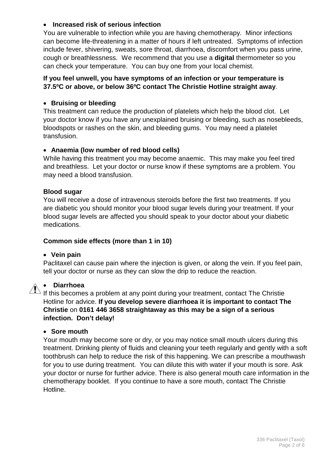#### • **Increased risk of serious infection**

You are vulnerable to infection while you are having chemotherapy. Minor infections can become life-threatening in a matter of hours if left untreated. Symptoms of infection include fever, shivering, sweats, sore throat, diarrhoea, discomfort when you pass urine, cough or breathlessness. We recommend that you use a **digital** thermometer so you can check your temperature. You can buy one from your local chemist.

#### **If you feel unwell, you have symptoms of an infection or your temperature is 37.5ºC or above, or below 36ºC contact The Christie Hotline straight away**.

#### • **Bruising or bleeding**

This treatment can reduce the production of platelets which help the blood clot. Let your doctor know if you have any unexplained bruising or bleeding, such as nosebleeds, bloodspots or rashes on the skin, and bleeding gums. You may need a platelet transfusion.

#### • **Anaemia (low number of red blood cells)**

While having this treatment you may become anaemic. This may make you feel tired and breathless. Let your doctor or nurse know if these symptoms are a problem. You may need a blood transfusion.

#### **Blood sugar**

You will receive a dose of intravenous steroids before the first two treatments. If you are diabetic you should monitor your blood sugar levels during your treatment. If your blood sugar levels are affected you should speak to your doctor about your diabetic medications.

#### **Common side effects (more than 1 in 10)**

#### • **Vein pain**

Paclitaxel can cause pain where the injection is given, or along the vein. If you feel pain, tell your doctor or nurse as they can slow the drip to reduce the reaction.

#### • **Diarrhoea**

If this becomes a problem at any point during your treatment, contact The Christie Hotline for advice. **If you develop severe diarrhoea it is important to contact The Christie** on **0161 446 3658 straightaway as this may be a sign of a serious infection. Don't delay!**

#### • **Sore mouth**

Your mouth may become sore or dry, or you may notice small mouth ulcers during this treatment. Drinking plenty of fluids and cleaning your teeth regularly and gently with a soft toothbrush can help to reduce the risk of this happening. We can prescribe a mouthwash for you to use during treatment. You can dilute this with water if your mouth is sore. Ask your doctor or nurse for further advice. There is also general mouth care information in the chemotherapy booklet. If you continue to have a sore mouth, contact The Christie Hotline.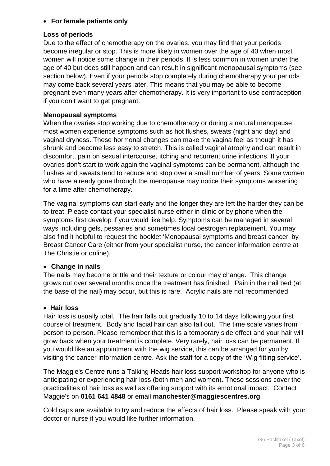# • **For female patients only**

# **Loss of periods**

Due to the effect of chemotherapy on the ovaries, you may find that your periods become irregular or stop. This is more likely in women over the age of 40 when most women will notice some change in their periods. It is less common in women under the age of 40 but does still happen and can result in significant menopausal symptoms (see section below). Even if your periods stop completely during chemotherapy your periods may come back several years later. This means that you may be able to become pregnant even many years after chemotherapy. It is very important to use contraception if you don't want to get pregnant.

#### **Menopausal symptoms**

When the ovaries stop working due to chemotherapy or during a natural menopause most women experience symptoms such as hot flushes, sweats (night and day) and vaginal dryness. These hormonal changes can make the vagina feel as though it has shrunk and become less easy to stretch. This is called vaginal atrophy and can result in discomfort, pain on sexual intercourse, itching and recurrent urine infections. If your ovaries don't start to work again the vaginal symptoms can be permanent, although the flushes and sweats tend to reduce and stop over a small number of years. Some women who have already gone through the menopause may notice their symptoms worsening for a time after chemotherapy.

The vaginal symptoms can start early and the longer they are left the harder they can be to treat. Please contact your specialist nurse either in clinic or by phone when the symptoms first develop if you would like help. Symptoms can be managed in several ways including gels, pessaries and sometimes local oestrogen replacement. You may also find it helpful to request the booklet 'Menopausal symptoms and breast cancer' by Breast Cancer Care (either from your specialist nurse, the cancer information centre at The Christie or online).

#### • **Change in nails**

The nails may become brittle and their texture or colour may change. This change grows out over several months once the treatment has finished. Pain in the nail bed (at the base of the nail) may occur, but this is rare. Acrylic nails are not recommended.

#### • **Hair loss**

Hair loss is usually total. The hair falls out gradually 10 to 14 days following your first course of treatment. Body and facial hair can also fall out. The time scale varies from person to person. Please remember that this is a temporary side effect and your hair will grow back when your treatment is complete. Very rarely, hair loss can be permanent. If you would like an appointment with the wig service, this can be arranged for you by visiting the cancer information centre. Ask the staff for a copy of the 'Wig fitting service'.

The Maggie's Centre runs a Talking Heads hair loss support workshop for anyone who is anticipating or experiencing hair loss (both men and women). These sessions cover the practicalities of hair loss as well as offering support with its emotional impact. Contact Maggie's on **0161 641 4848** or email **manchester@maggiescentres.org**

Cold caps are available to try and reduce the effects of hair loss. Please speak with your doctor or nurse if you would like further information.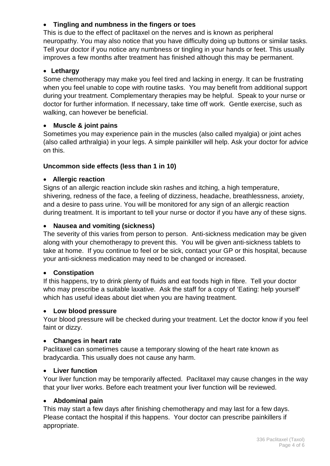# • **Tingling and numbness in the fingers or toes**

This is due to the effect of paclitaxel on the nerves and is known as peripheral neuropathy. You may also notice that you have difficulty doing up buttons or similar tasks. Tell your doctor if you notice any numbness or tingling in your hands or feet. This usually improves a few months after treatment has finished although this may be permanent.

# • **Lethargy**

Some chemotherapy may make you feel tired and lacking in energy. It can be frustrating when you feel unable to cope with routine tasks. You may benefit from additional support during your treatment. Complementary therapies may be helpful. Speak to your nurse or doctor for further information. If necessary, take time off work. Gentle exercise, such as walking, can however be beneficial.

# • **Muscle & joint pains**

Sometimes you may experience pain in the muscles (also called myalgia) or joint aches (also called arthralgia) in your legs. A simple painkiller will help. Ask your doctor for advice on this.

# **Uncommon side effects (less than 1 in 10)**

# • **Allergic reaction**

Signs of an allergic reaction include skin rashes and itching, a high temperature, shivering, redness of the face, a feeling of dizziness, headache, breathlessness, anxiety, and a desire to pass urine. You will be monitored for any sign of an allergic reaction during treatment. It is important to tell your nurse or doctor if you have any of these signs.

# • **Nausea and vomiting (sickness)**

The severity of this varies from person to person. Anti-sickness medication may be given along with your chemotherapy to prevent this. You will be given anti-sickness tablets to take at home. If you continue to feel or be sick, contact your GP or this hospital, because your anti-sickness medication may need to be changed or increased.

# • **Constipation**

If this happens, try to drink plenty of fluids and eat foods high in fibre. Tell your doctor who may prescribe a suitable laxative. Ask the staff for a copy of 'Eating: help yourself' which has useful ideas about diet when you are having treatment.

# • **Low blood pressure**

Your blood pressure will be checked during your treatment. Let the doctor know if you feel faint or dizzy.

# • **Changes in heart rate**

Paclitaxel can sometimes cause a temporary slowing of the heart rate known as bradycardia. This usually does not cause any harm.

# • **Liver function**

Your liver function may be temporarily affected. Paclitaxel may cause changes in the way that your liver works. Before each treatment your liver function will be reviewed.

# • **Abdominal pain**

This may start a few days after finishing chemotherapy and may last for a few days. Please contact the hospital if this happens. Your doctor can prescribe painkillers if appropriate.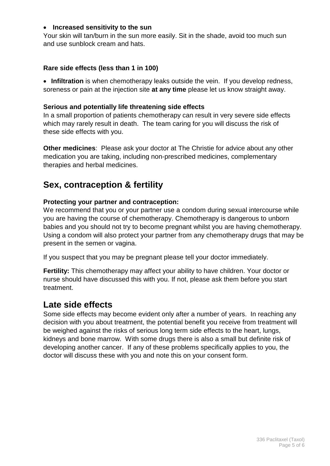#### • **Increased sensitivity to the sun**

Your skin will tan/burn in the sun more easily. Sit in the shade, avoid too much sun and use sunblock cream and hats.

#### **Rare side effects (less than 1 in 100)**

• **Infiltration** is when chemotherapy leaks outside the vein. If you develop redness, soreness or pain at the injection site **at any time** please let us know straight away.

#### **Serious and potentially life threatening side effects**

In a small proportion of patients chemotherapy can result in very severe side effects which may rarely result in death. The team caring for you will discuss the risk of these side effects with you.

**Other medicines**: Please ask your doctor at The Christie for advice about any other medication you are taking, including non-prescribed medicines, complementary therapies and herbal medicines.

# **Sex, contraception & fertility**

# **Protecting your partner and contraception:**

We recommend that you or your partner use a condom during sexual intercourse while you are having the course of chemotherapy. Chemotherapy is dangerous to unborn babies and you should not try to become pregnant whilst you are having chemotherapy. Using a condom will also protect your partner from any chemotherapy drugs that may be present in the semen or vagina.

If you suspect that you may be pregnant please tell your doctor immediately.

**Fertility:** This chemotherapy may affect your ability to have children. Your doctor or nurse should have discussed this with you. If not, please ask them before you start treatment.

# **Late side effects**

Some side effects may become evident only after a number of years. In reaching any decision with you about treatment, the potential benefit you receive from treatment will be weighed against the risks of serious long term side effects to the heart, lungs, kidneys and bone marrow. With some drugs there is also a small but definite risk of developing another cancer. If any of these problems specifically applies to you, the doctor will discuss these with you and note this on your consent form.